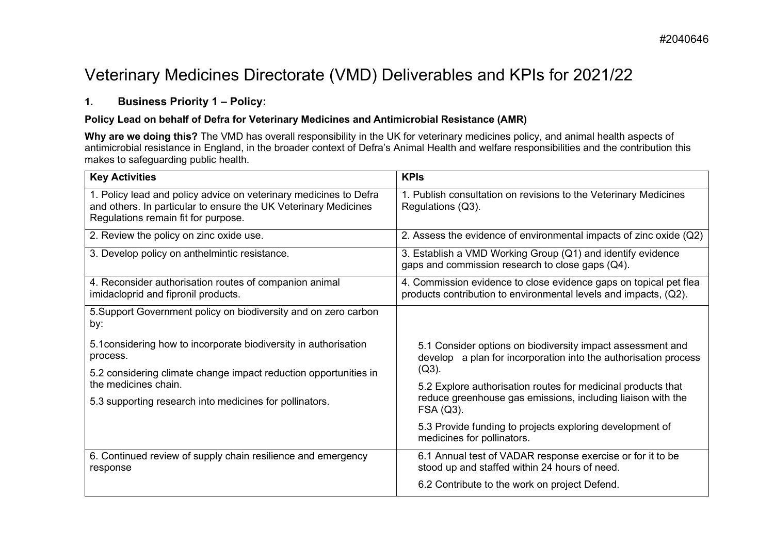# Veterinary Medicines Directorate (VMD) Deliverables and KPIs for 2021/22

# **1. Business Priority 1 – Policy:**

### **Policy Lead on behalf of Defra for Veterinary Medicines and Antimicrobial Resistance (AMR)**

Why are we doing this? The VMD has overall responsibility in the UK for veterinary medicines policy, and animal health aspects of antimicrobial resistance in England, in the broader context of Defra's Animal Health and welfare responsibilities and the contribution this makes to safeguarding public health.

| <b>Key Activities</b>                                                                                                                                                       | <b>KPIs</b>                                                                                                                              |
|-----------------------------------------------------------------------------------------------------------------------------------------------------------------------------|------------------------------------------------------------------------------------------------------------------------------------------|
| 1. Policy lead and policy advice on veterinary medicines to Defra<br>and others. In particular to ensure the UK Veterinary Medicines<br>Regulations remain fit for purpose. | 1. Publish consultation on revisions to the Veterinary Medicines<br>Regulations (Q3).                                                    |
| 2. Review the policy on zinc oxide use.                                                                                                                                     | 2. Assess the evidence of environmental impacts of zinc oxide (Q2)                                                                       |
| 3. Develop policy on anthelmintic resistance.                                                                                                                               | 3. Establish a VMD Working Group (Q1) and identify evidence<br>gaps and commission research to close gaps (Q4).                          |
| 4. Reconsider authorisation routes of companion animal<br>imidacloprid and fipronil products.                                                                               | 4. Commission evidence to close evidence gaps on topical pet flea<br>products contribution to environmental levels and impacts, (Q2).    |
| 5. Support Government policy on biodiversity and on zero carbon<br>by:                                                                                                      |                                                                                                                                          |
| 5.1 considering how to incorporate biodiversity in authorisation<br>process.                                                                                                | 5.1 Consider options on biodiversity impact assessment and<br>develop a plan for incorporation into the authorisation process            |
| 5.2 considering climate change impact reduction opportunities in<br>the medicines chain.                                                                                    | $(Q3)$ .                                                                                                                                 |
| 5.3 supporting research into medicines for pollinators.                                                                                                                     | 5.2 Explore authorisation routes for medicinal products that<br>reduce greenhouse gas emissions, including liaison with the<br>FSA (Q3). |
|                                                                                                                                                                             | 5.3 Provide funding to projects exploring development of<br>medicines for pollinators.                                                   |
| 6. Continued review of supply chain resilience and emergency<br>response                                                                                                    | 6.1 Annual test of VADAR response exercise or for it to be<br>stood up and staffed within 24 hours of need.                              |
|                                                                                                                                                                             | 6.2 Contribute to the work on project Defend.                                                                                            |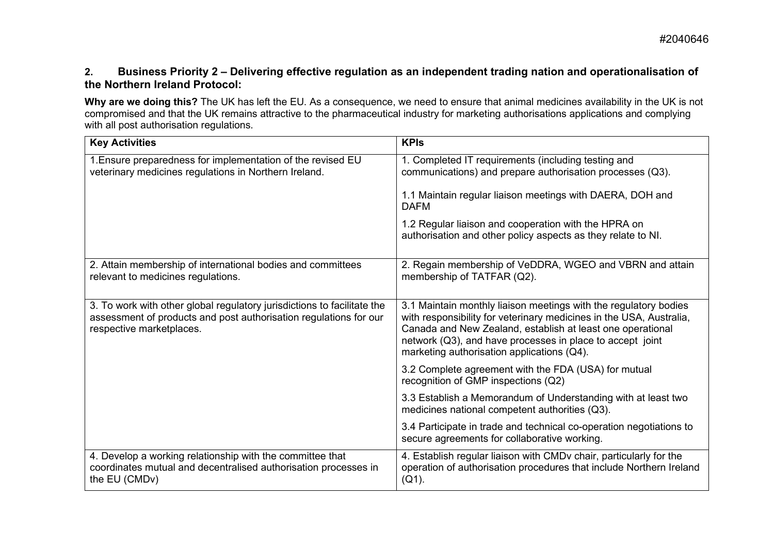## **2. Business Priority 2 – Delivering effective regulation as an independent trading nation and operationalisation of the Northern Ireland Protocol:**

**Why are we doing this?** The UK has left the EU. As a consequence, we need to ensure that animal medicines availability in the UK is not compromised and that the UK remains attractive to the pharmaceutical industry for marketing authorisations applications and complying with all post authorisation regulations.

| <b>Key Activities</b>                                                                                                                                                    | <b>KPIs</b>                                                                                                                                                                                                                                                                                                      |
|--------------------------------------------------------------------------------------------------------------------------------------------------------------------------|------------------------------------------------------------------------------------------------------------------------------------------------------------------------------------------------------------------------------------------------------------------------------------------------------------------|
| 1. Ensure preparedness for implementation of the revised EU<br>veterinary medicines regulations in Northern Ireland.                                                     | 1. Completed IT requirements (including testing and<br>communications) and prepare authorisation processes (Q3).                                                                                                                                                                                                 |
|                                                                                                                                                                          | 1.1 Maintain regular liaison meetings with DAERA, DOH and<br><b>DAFM</b>                                                                                                                                                                                                                                         |
|                                                                                                                                                                          | 1.2 Regular liaison and cooperation with the HPRA on<br>authorisation and other policy aspects as they relate to NI.                                                                                                                                                                                             |
| 2. Attain membership of international bodies and committees<br>relevant to medicines regulations.                                                                        | 2. Regain membership of VeDDRA, WGEO and VBRN and attain<br>membership of TATFAR (Q2).                                                                                                                                                                                                                           |
| 3. To work with other global regulatory jurisdictions to facilitate the<br>assessment of products and post authorisation regulations for our<br>respective marketplaces. | 3.1 Maintain monthly liaison meetings with the regulatory bodies<br>with responsibility for veterinary medicines in the USA, Australia,<br>Canada and New Zealand, establish at least one operational<br>network (Q3), and have processes in place to accept joint<br>marketing authorisation applications (Q4). |
|                                                                                                                                                                          | 3.2 Complete agreement with the FDA (USA) for mutual<br>recognition of GMP inspections (Q2)                                                                                                                                                                                                                      |
|                                                                                                                                                                          | 3.3 Establish a Memorandum of Understanding with at least two<br>medicines national competent authorities (Q3).                                                                                                                                                                                                  |
|                                                                                                                                                                          | 3.4 Participate in trade and technical co-operation negotiations to<br>secure agreements for collaborative working.                                                                                                                                                                                              |
| 4. Develop a working relationship with the committee that<br>coordinates mutual and decentralised authorisation processes in<br>the EU (CMDv)                            | 4. Establish regular liaison with CMDv chair, particularly for the<br>operation of authorisation procedures that include Northern Ireland<br>$(Q1)$ .                                                                                                                                                            |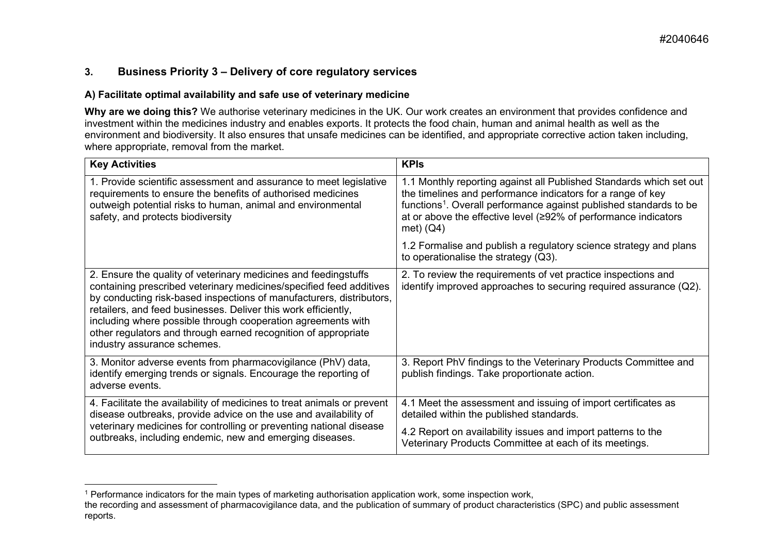# <span id="page-2-0"></span>**3. Business Priority 3 – Delivery of core regulatory services**

#### **A) Facilitate optimal availability and safe use of veterinary medicine**

**Why are we doing this?** We authorise veterinary medicines in the UK. Our work creates an environment that provides confidence and investment within the medicines industry and enables exports. It protects the food chain, human and animal health as well as the environment and biodiversity. It also ensures that unsafe medicines can be identified, and appropriate corrective action taken including, where appropriate, removal from the market.

| <b>Key Activities</b>                                                                                                                                                                                                                                                                                                                                                                                                                             | <b>KPIs</b>                                                                                                                                                                                                                                                                                            |
|---------------------------------------------------------------------------------------------------------------------------------------------------------------------------------------------------------------------------------------------------------------------------------------------------------------------------------------------------------------------------------------------------------------------------------------------------|--------------------------------------------------------------------------------------------------------------------------------------------------------------------------------------------------------------------------------------------------------------------------------------------------------|
| 1. Provide scientific assessment and assurance to meet legislative<br>requirements to ensure the benefits of authorised medicines<br>outweigh potential risks to human, animal and environmental<br>safety, and protects biodiversity                                                                                                                                                                                                             | 1.1 Monthly reporting against all Published Standards which set out<br>the timelines and performance indicators for a range of key<br>functions <sup>1</sup> . Overall performance against published standards to be<br>at or above the effective level (≥92% of performance indicators<br>met) $(Q4)$ |
|                                                                                                                                                                                                                                                                                                                                                                                                                                                   | 1.2 Formalise and publish a regulatory science strategy and plans<br>to operationalise the strategy (Q3).                                                                                                                                                                                              |
| 2. Ensure the quality of veterinary medicines and feedingstuffs<br>containing prescribed veterinary medicines/specified feed additives<br>by conducting risk-based inspections of manufacturers, distributors,<br>retailers, and feed businesses. Deliver this work efficiently,<br>including where possible through cooperation agreements with<br>other regulators and through earned recognition of appropriate<br>industry assurance schemes. | 2. To review the requirements of vet practice inspections and<br>identify improved approaches to securing required assurance (Q2).                                                                                                                                                                     |
| 3. Monitor adverse events from pharmacovigilance (PhV) data,<br>identify emerging trends or signals. Encourage the reporting of<br>adverse events.                                                                                                                                                                                                                                                                                                | 3. Report PhV findings to the Veterinary Products Committee and<br>publish findings. Take proportionate action.                                                                                                                                                                                        |
| 4. Facilitate the availability of medicines to treat animals or prevent<br>disease outbreaks, provide advice on the use and availability of<br>veterinary medicines for controlling or preventing national disease<br>outbreaks, including endemic, new and emerging diseases.                                                                                                                                                                    | 4.1 Meet the assessment and issuing of import certificates as<br>detailed within the published standards.<br>4.2 Report on availability issues and import patterns to the<br>Veterinary Products Committee at each of its meetings.                                                                    |

<sup>1</sup> Performance indicators for the main types of marketing authorisation application work, some inspection work, the recording and assessment of pharmacovigilance data, and the publication of summary of product characteristics (SPC) and public assessment reports.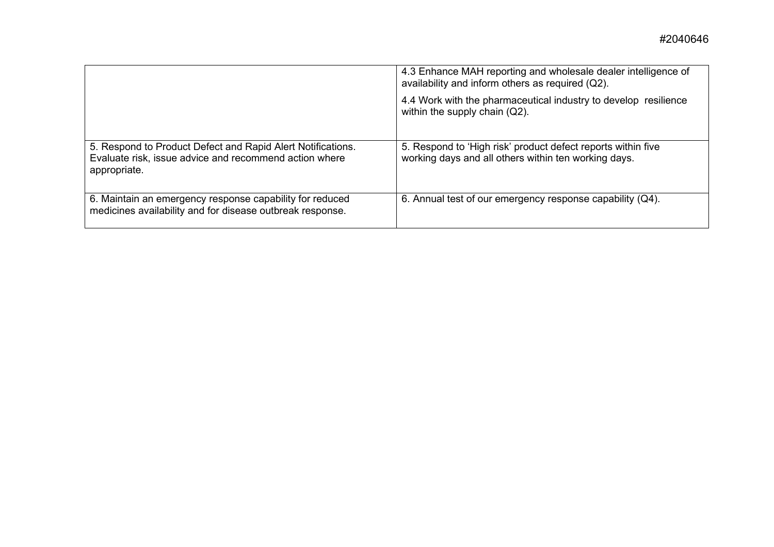|                                                                                                                                       | 4.3 Enhance MAH reporting and wholesale dealer intelligence of<br>availability and inform others as required (Q2).   |
|---------------------------------------------------------------------------------------------------------------------------------------|----------------------------------------------------------------------------------------------------------------------|
|                                                                                                                                       | 4.4 Work with the pharmaceutical industry to develop resilience<br>within the supply chain (Q2).                     |
| 5. Respond to Product Defect and Rapid Alert Notifications.<br>Evaluate risk, issue advice and recommend action where<br>appropriate. | 5. Respond to 'High risk' product defect reports within five<br>working days and all others within ten working days. |
| 6. Maintain an emergency response capability for reduced<br>medicines availability and for disease outbreak response.                 | 6. Annual test of our emergency response capability (Q4).                                                            |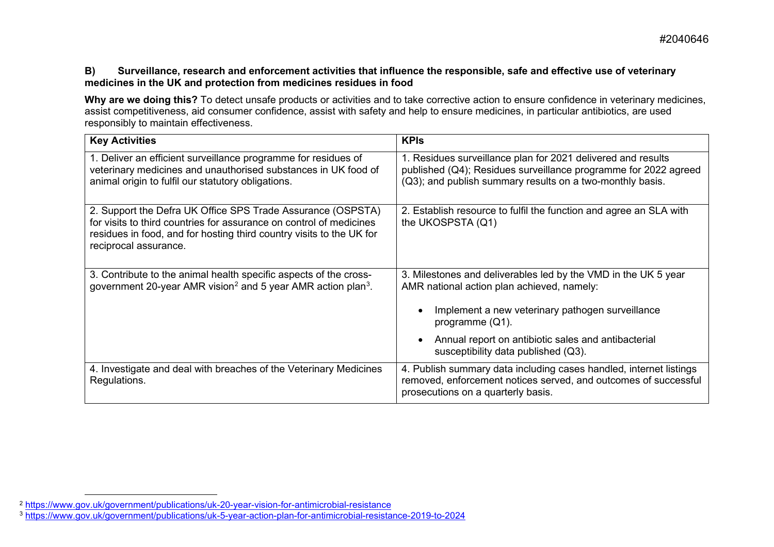#### <span id="page-4-1"></span><span id="page-4-0"></span>**B) Surveillance, research and enforcement activities that influence the responsible, safe and effective use of veterinary medicines in the UK and protection from medicines residues in food**

Why are we doing this? To detect unsafe products or activities and to take corrective action to ensure confidence in veterinary medicines, assist competitiveness, aid consumer confidence, assist with safety and help to ensure medicines, in particular antibiotics, are used responsibly to maintain effectiveness.

| <b>Key Activities</b>                                                                                                                                                                                                               | <b>KPIs</b>                                                                                                                                                                                                                                                                          |
|-------------------------------------------------------------------------------------------------------------------------------------------------------------------------------------------------------------------------------------|--------------------------------------------------------------------------------------------------------------------------------------------------------------------------------------------------------------------------------------------------------------------------------------|
| 1. Deliver an efficient surveillance programme for residues of<br>veterinary medicines and unauthorised substances in UK food of<br>animal origin to fulfil our statutory obligations.                                              | 1. Residues surveillance plan for 2021 delivered and results<br>published (Q4); Residues surveillance programme for 2022 agreed<br>(Q3); and publish summary results on a two-monthly basis.                                                                                         |
| 2. Support the Defra UK Office SPS Trade Assurance (OSPSTA)<br>for visits to third countries for assurance on control of medicines<br>residues in food, and for hosting third country visits to the UK for<br>reciprocal assurance. | 2. Establish resource to fulfil the function and agree an SLA with<br>the UKOSPSTA (Q1)                                                                                                                                                                                              |
| 3. Contribute to the animal health specific aspects of the cross-<br>government 20-year AMR vision <sup>2</sup> and 5 year AMR action plan <sup>3</sup> .                                                                           | 3. Milestones and deliverables led by the VMD in the UK 5 year<br>AMR national action plan achieved, namely:<br>Implement a new veterinary pathogen surveillance<br>programme $(Q1)$ .<br>Annual report on antibiotic sales and antibacterial<br>susceptibility data published (Q3). |
| 4. Investigate and deal with breaches of the Veterinary Medicines<br>Regulations.                                                                                                                                                   | 4. Publish summary data including cases handled, internet listings<br>removed, enforcement notices served, and outcomes of successful<br>prosecutions on a quarterly basis.                                                                                                          |

<sup>2</sup> <https://www.gov.uk/government/publications/uk-20-year-vision-for-antimicrobial-resistance>

<sup>3</sup> [https://www.gov.uk/government/publications/uk-5-year-action-plan-for-antimicrobial-resistance-](https://www.gov.uk/government/publications/uk-5-year-action-plan-for-antimicrobial-resistance-2019-to-2024)2019-to-2024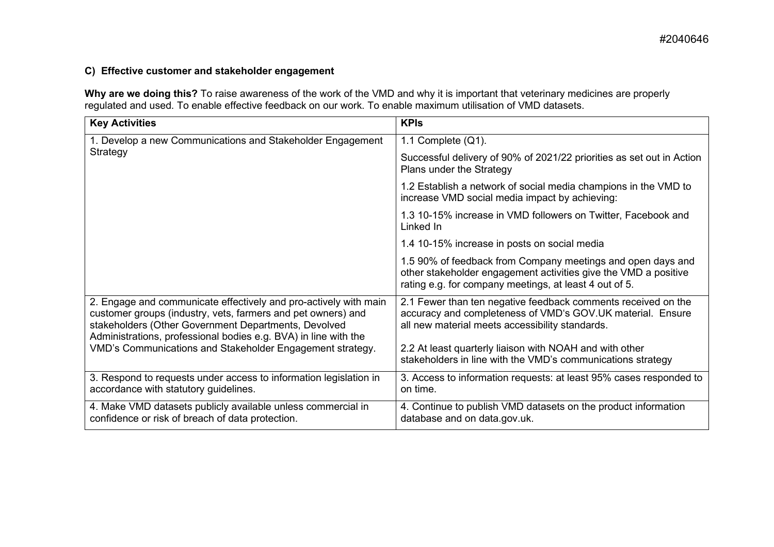# **C) Effective customer and stakeholder engagement**

**Why are we doing this?** To raise awareness of the work of the VMD and why it is important that veterinary medicines are properly regulated and used. To enable effective feedback on our work. To enable maximum utilisation of VMD datasets.

| <b>Key Activities</b>                                                                                                                                                                                                                                                                                                    | <b>KPIs</b>                                                                                                                                                                                                                                                                                              |
|--------------------------------------------------------------------------------------------------------------------------------------------------------------------------------------------------------------------------------------------------------------------------------------------------------------------------|----------------------------------------------------------------------------------------------------------------------------------------------------------------------------------------------------------------------------------------------------------------------------------------------------------|
| 1. Develop a new Communications and Stakeholder Engagement<br>Strategy                                                                                                                                                                                                                                                   | 1.1 Complete $(Q1)$ .                                                                                                                                                                                                                                                                                    |
|                                                                                                                                                                                                                                                                                                                          | Successful delivery of 90% of 2021/22 priorities as set out in Action<br>Plans under the Strategy                                                                                                                                                                                                        |
|                                                                                                                                                                                                                                                                                                                          | 1.2 Establish a network of social media champions in the VMD to<br>increase VMD social media impact by achieving:                                                                                                                                                                                        |
|                                                                                                                                                                                                                                                                                                                          | 1.3 10-15% increase in VMD followers on Twitter, Facebook and<br>Linked In                                                                                                                                                                                                                               |
|                                                                                                                                                                                                                                                                                                                          | 1.4 10-15% increase in posts on social media                                                                                                                                                                                                                                                             |
|                                                                                                                                                                                                                                                                                                                          | 1.5 90% of feedback from Company meetings and open days and<br>other stakeholder engagement activities give the VMD a positive<br>rating e.g. for company meetings, at least 4 out of 5.                                                                                                                 |
| 2. Engage and communicate effectively and pro-actively with main<br>customer groups (industry, vets, farmers and pet owners) and<br>stakeholders (Other Government Departments, Devolved<br>Administrations, professional bodies e.g. BVA) in line with the<br>VMD's Communications and Stakeholder Engagement strategy. | 2.1 Fewer than ten negative feedback comments received on the<br>accuracy and completeness of VMD's GOV.UK material. Ensure<br>all new material meets accessibility standards.<br>2.2 At least quarterly liaison with NOAH and with other<br>stakeholders in line with the VMD's communications strategy |
| 3. Respond to requests under access to information legislation in<br>accordance with statutory guidelines.                                                                                                                                                                                                               | 3. Access to information requests: at least 95% cases responded to<br>on time.                                                                                                                                                                                                                           |
| 4. Make VMD datasets publicly available unless commercial in<br>confidence or risk of breach of data protection.                                                                                                                                                                                                         | 4. Continue to publish VMD datasets on the product information<br>database and on data.gov.uk.                                                                                                                                                                                                           |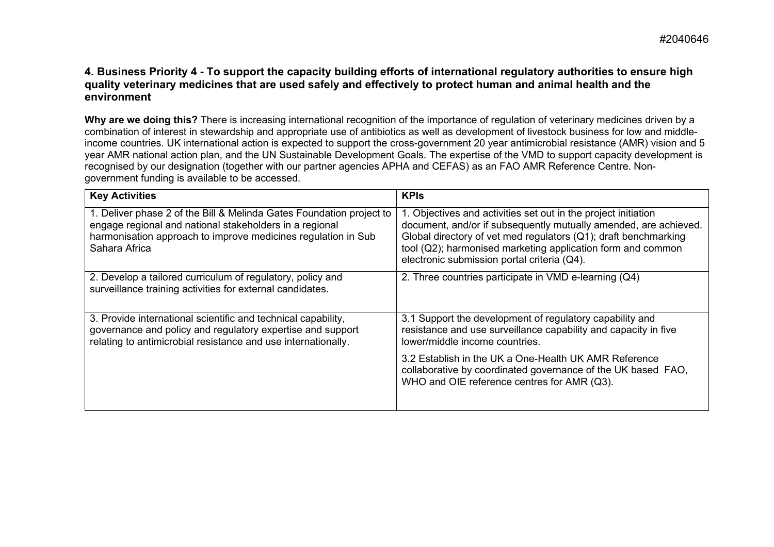### **4. Business Priority 4 - To support the capacity building efforts of international regulatory authorities to ensure high quality veterinary medicines that are used safely and effectively to protect human and animal health and the environment**

Why are we doing this? There is increasing international recognition of the importance of regulation of veterinary medicines driven by a combination of interest in stewardship and appropriate use of antibiotics as well as development of livestock business for low and middleincome countries. UK international action is expected to support the cross-government 20 year antimicrobial resistance (AMR) vision and 5 year AMR national action plan, and the UN Sustainable Development Goals. The expertise of the VMD to support capacity development is recognised by our designation (together with our partner agencies APHA and CEFAS) as an FAO AMR Reference Centre. Nongovernment funding is available to be accessed.

| <b>Key Activities</b>                                                                                                                                                                                             | <b>KPIs</b>                                                                                                                                                                                                                                                                                                         |
|-------------------------------------------------------------------------------------------------------------------------------------------------------------------------------------------------------------------|---------------------------------------------------------------------------------------------------------------------------------------------------------------------------------------------------------------------------------------------------------------------------------------------------------------------|
| 1. Deliver phase 2 of the Bill & Melinda Gates Foundation project to<br>engage regional and national stakeholders in a regional<br>harmonisation approach to improve medicines regulation in Sub<br>Sahara Africa | 1. Objectives and activities set out in the project initiation<br>document, and/or if subsequently mutually amended, are achieved.<br>Global directory of vet med regulators (Q1); draft benchmarking<br>tool (Q2); harmonised marketing application form and common<br>electronic submission portal criteria (Q4). |
| 2. Develop a tailored curriculum of regulatory, policy and<br>surveillance training activities for external candidates.                                                                                           | 2. Three countries participate in VMD e-learning (Q4)                                                                                                                                                                                                                                                               |
| 3. Provide international scientific and technical capability,<br>governance and policy and regulatory expertise and support<br>relating to antimicrobial resistance and use internationally.                      | 3.1 Support the development of regulatory capability and<br>resistance and use surveillance capability and capacity in five<br>lower/middle income countries.                                                                                                                                                       |
|                                                                                                                                                                                                                   | 3.2 Establish in the UK a One-Health UK AMR Reference<br>collaborative by coordinated governance of the UK based FAO,<br>WHO and OIE reference centres for AMR (Q3).                                                                                                                                                |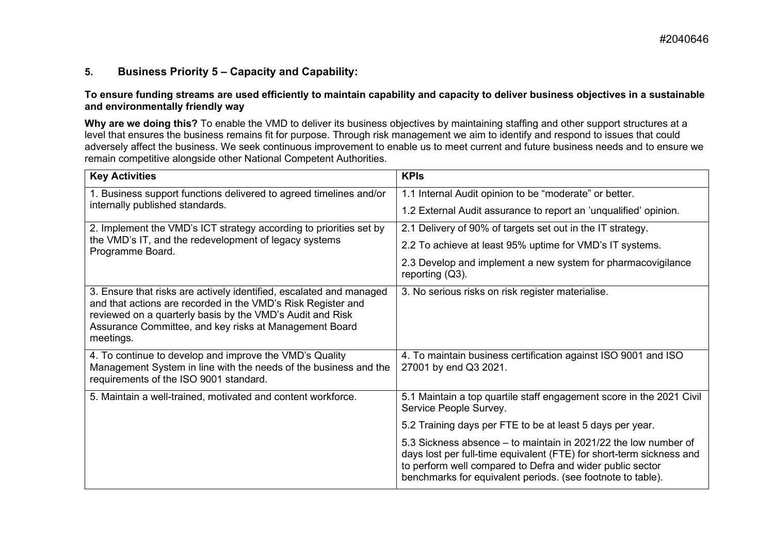# **5. Business Priority 5 – Capacity and Capability:**

#### **To ensure funding streams are used efficiently to maintain capability and capacity to deliver business objectives in a sustainable and environmentally friendly way**

**Why are we doing this?** To enable the VMD to deliver its business objectives by maintaining staffing and other support structures at a level that ensures the business remains fit for purpose. Through risk management we aim to identify and respond to issues that could adversely affect the business. We seek continuous improvement to enable us to meet current and future business needs and to ensure we remain competitive alongside other National Competent Authorities.

| <b>Key Activities</b>                                                                                                                                                                                                                                                   | <b>KPIs</b>                                                                                                                                                                                                                                                         |
|-------------------------------------------------------------------------------------------------------------------------------------------------------------------------------------------------------------------------------------------------------------------------|---------------------------------------------------------------------------------------------------------------------------------------------------------------------------------------------------------------------------------------------------------------------|
| 1. Business support functions delivered to agreed timelines and/or                                                                                                                                                                                                      | 1.1 Internal Audit opinion to be "moderate" or better.                                                                                                                                                                                                              |
| internally published standards.                                                                                                                                                                                                                                         | 1.2 External Audit assurance to report an 'unqualified' opinion.                                                                                                                                                                                                    |
| 2. Implement the VMD's ICT strategy according to priorities set by                                                                                                                                                                                                      | 2.1 Delivery of 90% of targets set out in the IT strategy.                                                                                                                                                                                                          |
| the VMD's IT, and the redevelopment of legacy systems<br>Programme Board.                                                                                                                                                                                               | 2.2 To achieve at least 95% uptime for VMD's IT systems.                                                                                                                                                                                                            |
|                                                                                                                                                                                                                                                                         | 2.3 Develop and implement a new system for pharmacovigilance<br>reporting (Q3).                                                                                                                                                                                     |
| 3. Ensure that risks are actively identified, escalated and managed<br>and that actions are recorded in the VMD's Risk Register and<br>reviewed on a quarterly basis by the VMD's Audit and Risk<br>Assurance Committee, and key risks at Management Board<br>meetings. | 3. No serious risks on risk register materialise.                                                                                                                                                                                                                   |
| 4. To continue to develop and improve the VMD's Quality<br>Management System in line with the needs of the business and the<br>requirements of the ISO 9001 standard.                                                                                                   | 4. To maintain business certification against ISO 9001 and ISO<br>27001 by end Q3 2021.                                                                                                                                                                             |
| 5. Maintain a well-trained, motivated and content workforce.                                                                                                                                                                                                            | 5.1 Maintain a top quartile staff engagement score in the 2021 Civil<br>Service People Survey.                                                                                                                                                                      |
|                                                                                                                                                                                                                                                                         | 5.2 Training days per FTE to be at least 5 days per year.                                                                                                                                                                                                           |
|                                                                                                                                                                                                                                                                         | 5.3 Sickness absence – to maintain in 2021/22 the low number of<br>days lost per full-time equivalent (FTE) for short-term sickness and<br>to perform well compared to Defra and wider public sector<br>benchmarks for equivalent periods. (see footnote to table). |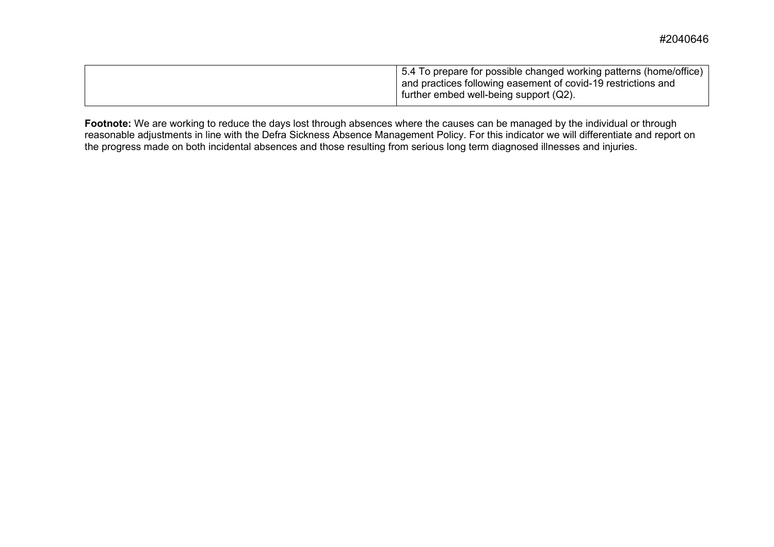| 5.4 To prepare for possible changed working patterns (home/office)<br>and practices following easement of covid-19 restrictions and |
|-------------------------------------------------------------------------------------------------------------------------------------|
| further embed well-being support (Q2).                                                                                              |

**Footnote:** We are working to reduce the days lost through absences where the causes can be managed by the individual or through reasonable adjustments in line with the Defra Sickness Absence Management Policy. For this indicator we will differentiate and report on the progress made on both incidental absences and those resulting from serious long term diagnosed illnesses and injuries.